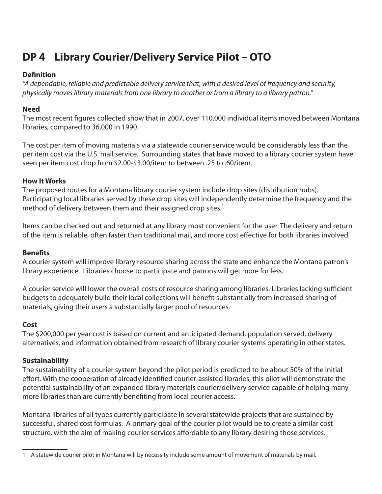# **DP 4 Library Courier/Delivery Service Pilot – OTO**

### **Definition**

*"A dependable, reliable and predictable delivery service that, with a desired level of frequency and security, physically moves library materials from one library to another or from a library to a library patron."* 

# **Need**

The most recent figures collected show that in 2007, over 110,000 individual items moved between Montana libraries, compared to 36,000 in 1990.

The cost per item of moving materials via a statewide courier service would be considerably less than the per item cost via the U.S. mail service. Surrounding states that have moved to a library courier system have seen per item cost drop from \$2.00-\$3.00/item to between .25 to .60/item.

# **How It Works**

The proposed routes for a Montana library courier system include drop sites (distribution hubs). Participating local libraries served by these drop sites will independently determine the frequency and the method of delivery between them and their assigned drop sites.<sup>1</sup>

Items can be checked out and returned at any library most convenient for the user. The delivery and return of the item is reliable, often faster than traditional mail, and more cost effective for both libraries involved.

### **Benefits**

A courier system will improve library resource sharing across the state and enhance the Montana patron's library experience. Libraries choose to participate and patrons will get more for less.

A courier service will lower the overall costs of resource sharing among libraries. Libraries lacking sufficient budgets to adequately build their local collections will benefit substantially from increased sharing of materials, giving their users a substantially larger pool of resources.

# **Cost**

The \$200,000 per year cost is based on current and anticipated demand, population served, delivery alternatives, and information obtained from research of library courier systems operating in other states.

# **Sustainability**

The sustainability of a courier system beyond the pilot period is predicted to be about 50% of the initial effort. With the cooperation of already identified courier-assisted libraries, this pilot will demonstrate the potential sustainability of an expanded library materials courier/delivery service capable of helping many more libraries than are currently benefiting from local courier access.

Montana libraries of all types currently participate in several statewide projects that are sustained by successful, shared cost formulas. A primary goal of the courier pilot would be to create a similar cost structure, with the aim of making courier services affordable to any library desiring those services.

<sup>1</sup> A statewide courier pilot in Montana will by necessity include some amount of movement of materials by mail.